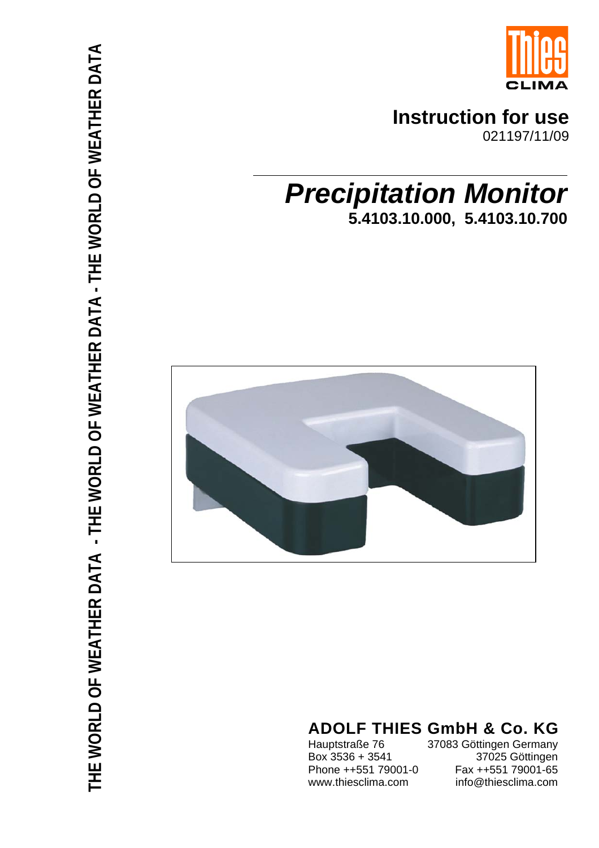

## **Instruction for use**

021197/11/09

# *Precipitation Monitor* **5.4103.10.000, 5.4103.10.700**



## **ADOLF THIES GmbH & Co. KG**

Hauptstraße 76 37083 Göttingen Germany<br>Box 3536 + 3541 37025 Göttingen 37025 Göttingen Phone ++551 79001-0 Fax ++551 79001-65 www.thiesclima.com info@thiesclima.com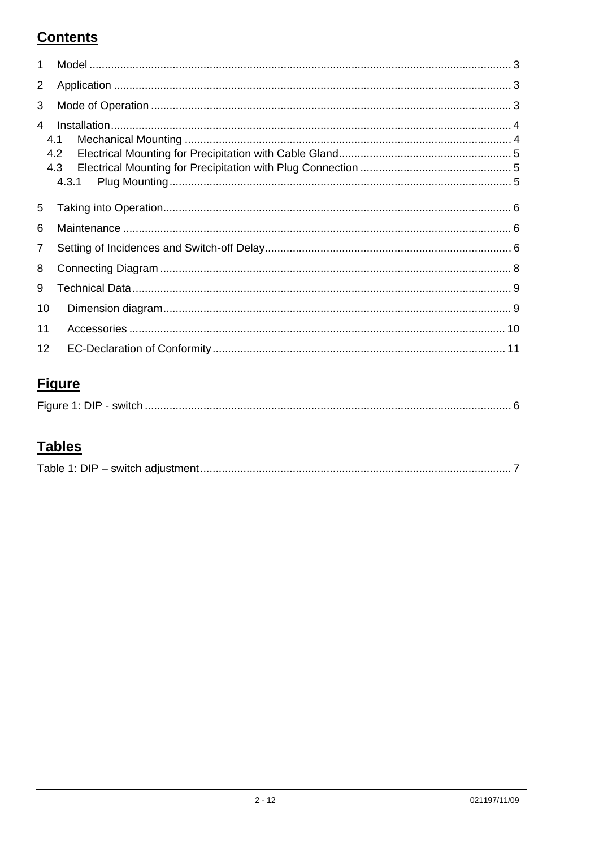### **Contents**

| 1              |       |
|----------------|-------|
| 2              |       |
| 3              |       |
| $\overline{A}$ |       |
|                | 4.1   |
|                | 4.2   |
|                | 4.3   |
|                | 4.3.1 |
|                |       |
| 5              |       |
| 6              |       |
| 7              |       |
| 8              |       |
| 9              |       |
| 10             |       |
| 11             |       |
| 12             |       |

### **Figure**

| $\Gamma$ : $\sim$ . $\sim$ .<br>. UIF |
|---------------------------------------|
|---------------------------------------|

### **Tables**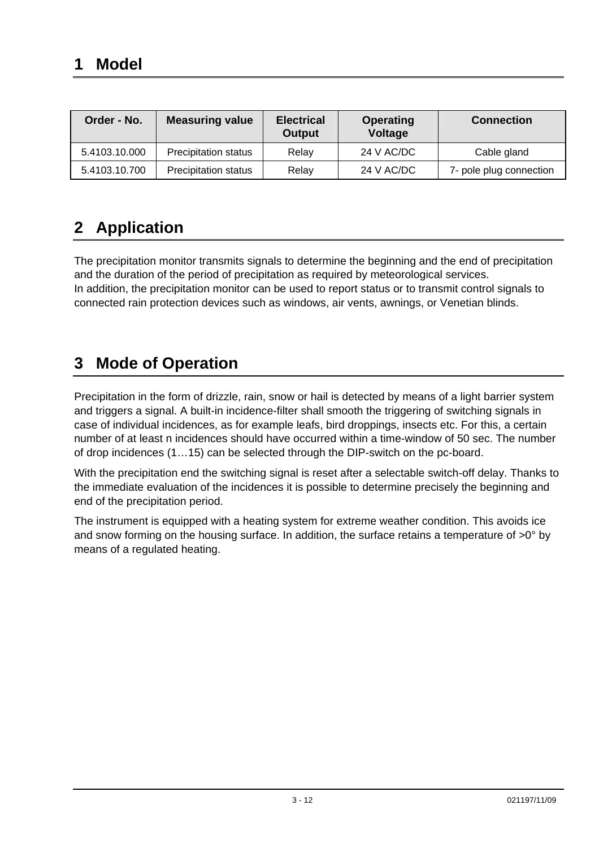<span id="page-2-0"></span>

| Order - No.   | <b>Measuring value</b>      | <b>Electrical</b><br><b>Output</b> | <b>Operating</b><br><b>Voltage</b> | <b>Connection</b>       |
|---------------|-----------------------------|------------------------------------|------------------------------------|-------------------------|
| 5.4103.10.000 | <b>Precipitation status</b> | Relay                              | 24 V AC/DC                         | Cable gland             |
| 5.4103.10.700 | Precipitation status        | Relay                              | 24 V AC/DC                         | 7- pole plug connection |

### **2 Application**

The precipitation monitor transmits signals to determine the beginning and the end of precipitation and the duration of the period of precipitation as required by meteorological services. In addition, the precipitation monitor can be used to report status or to transmit control signals to connected rain protection devices such as windows, air vents, awnings, or Venetian blinds.

### **3 Mode of Operation**

Precipitation in the form of drizzle, rain, snow or hail is detected by means of a light barrier system and triggers a signal. A built-in incidence-filter shall smooth the triggering of switching signals in case of individual incidences, as for example leafs, bird droppings, insects etc. For this, a certain number of at least n incidences should have occurred within a time-window of 50 sec. The number of drop incidences (1…15) can be selected through the DIP-switch on the pc-board.

With the precipitation end the switching signal is reset after a selectable switch-off delay. Thanks to the immediate evaluation of the incidences it is possible to determine precisely the beginning and end of the precipitation period.

The instrument is equipped with a heating system for extreme weather condition. This avoids ice and snow forming on the housing surface. In addition, the surface retains a temperature of >0° by means of a regulated heating.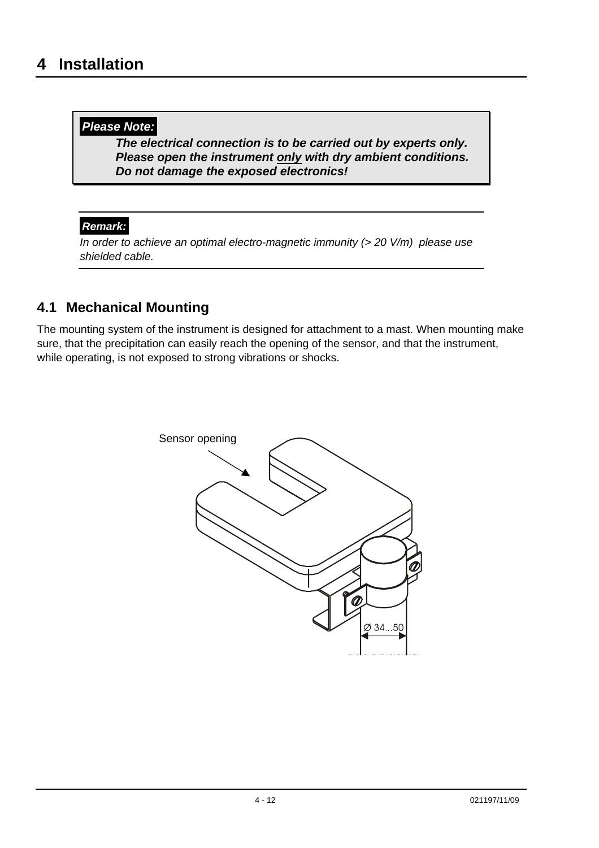#### <span id="page-3-0"></span>*Please Note:*

*The electrical connection is to be carried out by experts only. Please open the instrument only with dry ambient conditions. Do not damage the exposed electronics!* 

#### *Remark:*

*In order to achieve an optimal electro-magnetic immunity (> 20 V/m) please use shielded cable.* 

#### **4.1 Mechanical Mounting**

The mounting system of the instrument is designed for attachment to a mast. When mounting make sure, that the precipitation can easily reach the opening of the sensor, and that the instrument, while operating, is not exposed to strong vibrations or shocks.

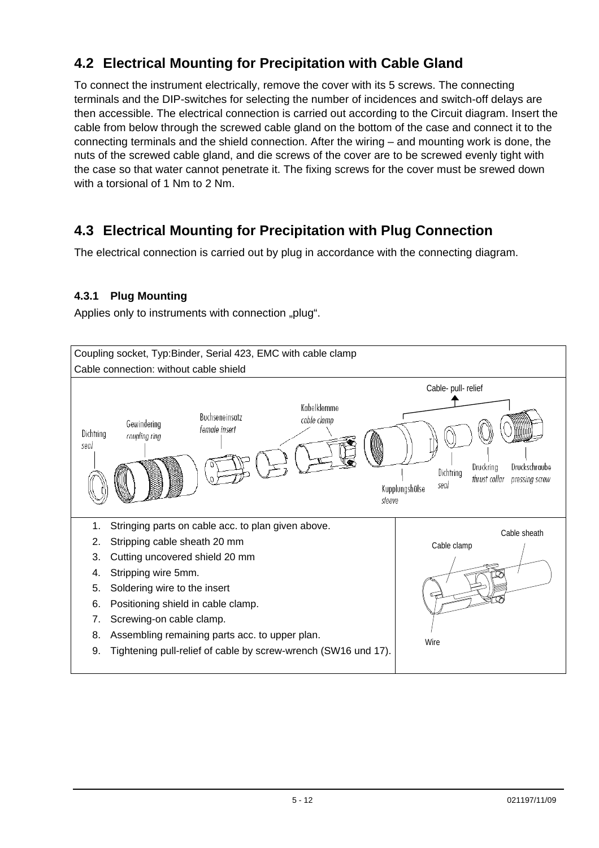### <span id="page-4-0"></span>**4.2 Electrical Mounting for Precipitation with Cable Gland**

To connect the instrument electrically, remove the cover with its 5 screws. The connecting terminals and the DIP-switches for selecting the number of incidences and switch-off delays are then accessible. The electrical connection is carried out according to the Circuit diagram. Insert the cable from below through the screwed cable gland on the bottom of the case and connect it to the connecting terminals and the shield connection. After the wiring – and mounting work is done, the nuts of the screwed cable gland, and die screws of the cover are to be screwed evenly tight with the case so that water cannot penetrate it. The fixing screws for the cover must be srewed down with a torsional of 1 Nm to 2 Nm.

#### **4.3 Electrical Mounting for Precipitation with Plug Connection**

The electrical connection is carried out by plug in accordance with the connecting diagram.

#### **4.3.1 Plug Mounting**

Applies only to instruments with connection "plug".

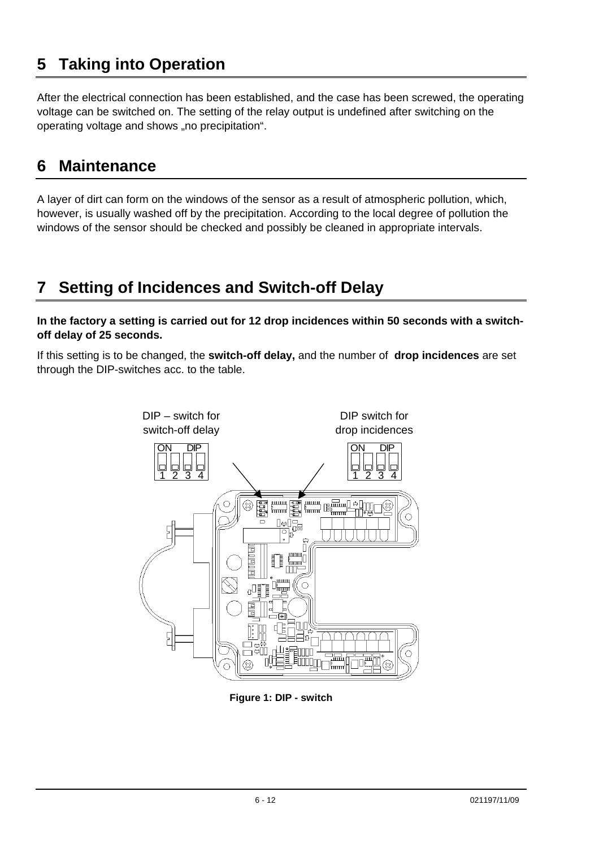### <span id="page-5-0"></span>**5 Taking into Operation**

After the electrical connection has been established, and the case has been screwed, the operating voltage can be switched on. The setting of the relay output is undefined after switching on the operating voltage and shows "no precipitation".

#### **6 Maintenance**

A layer of dirt can form on the windows of the sensor as a result of atmospheric pollution, which, however, is usually washed off by the precipitation. According to the local degree of pollution the windows of the sensor should be checked and possibly be cleaned in appropriate intervals.

### **7 Setting of Incidences and Switch-off Delay**

**In the factory a setting is carried out for 12 drop incidences within 50 seconds with a switchoff delay of 25 seconds.** 

If this setting is to be changed, the **switch-off delay,** and the number of **drop incidences** are set through the DIP-switches acc. to the table.



**Figure 1: DIP - switch**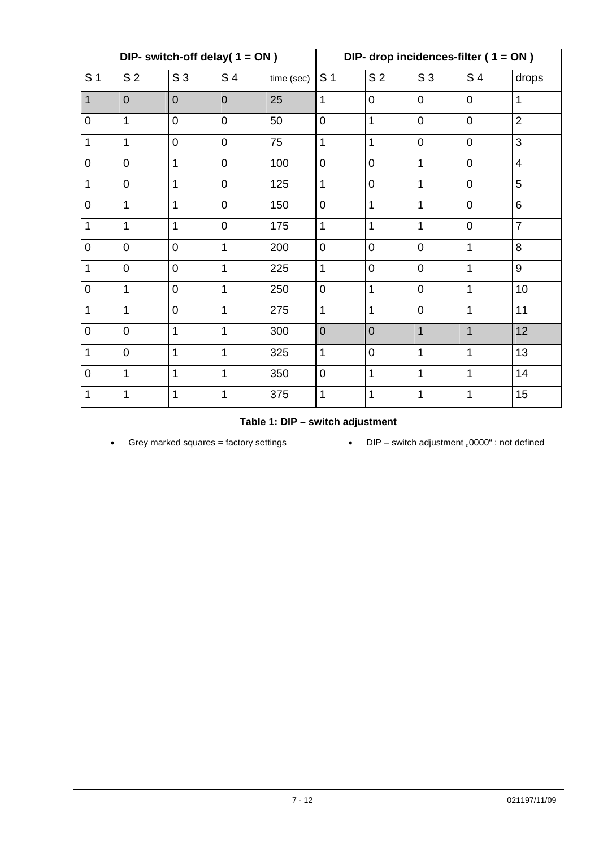<span id="page-6-0"></span>

| DIP- switch-off delay( $1 = ON$ ) |                |                |                | DIP- drop incidences-filter ( $1 = ON$ ) |                |                |                |                |                |
|-----------------------------------|----------------|----------------|----------------|------------------------------------------|----------------|----------------|----------------|----------------|----------------|
| S <sub>1</sub>                    | S <sub>2</sub> | S <sub>3</sub> | S 4            | time (sec)                               | S <sub>1</sub> | S <sub>2</sub> | S <sub>3</sub> | S 4            | drops          |
| $\mathbf{1}$                      | $\overline{0}$ | $\overline{0}$ | $\overline{0}$ | 25                                       | 1              | 0              | $\overline{0}$ | $\mathbf 0$    | $\mathbf{1}$   |
| $\mathbf 0$                       | 1              | $\overline{0}$ | $\mathbf 0$    | 50                                       | $\overline{0}$ | 1              | $\overline{0}$ | $\overline{0}$ | $\overline{2}$ |
| 1                                 | 1              | $\overline{0}$ | $\mathbf 0$    | 75                                       | 1              | 1              | $\overline{0}$ | $\mathbf 0$    | 3              |
| $\mathsf 0$                       | $\overline{0}$ | $\mathbf{1}$   | $\mathbf 0$    | 100                                      | $\overline{0}$ | $\overline{0}$ | $\mathbf{1}$   | $\mathbf 0$    | $\overline{4}$ |
| 1                                 | $\overline{0}$ | $\mathbf{1}$   | $\overline{0}$ | 125                                      | 1              | $\overline{0}$ | $\mathbf{1}$   | $\overline{0}$ | 5              |
| $\mathsf{O}\xspace$               | 1              | $\mathbf{1}$   | $\overline{0}$ | 150                                      | $\mathbf 0$    | 1              | $\mathbf{1}$   | $\mathbf 0$    | $\,6$          |
| 1                                 | 1              | $\mathbf{1}$   | $\mathbf 0$    | 175                                      | 1              | 1              | $\mathbf{1}$   | $\overline{0}$ | $\overline{7}$ |
| $\mathsf 0$                       | $\overline{0}$ | $\mathbf 0$    | $\mathbf{1}$   | 200                                      | $\overline{0}$ | $\overline{0}$ | $\overline{0}$ | $\overline{1}$ | 8              |
| $\mathbf{1}$                      | $\overline{0}$ | $\overline{0}$ | $\mathbf{1}$   | 225                                      | 1              | $\overline{0}$ | $\overline{0}$ | $\overline{1}$ | 9              |
| $\mathsf{O}\xspace$               | 1              | $\overline{0}$ | $\mathbf{1}$   | 250                                      | $\overline{0}$ | 1              | $\overline{0}$ | $\overline{1}$ | 10             |
| 1                                 | 1              | $\overline{0}$ | $\overline{1}$ | 275                                      | 1              | 1              | $\overline{0}$ | $\overline{1}$ | 11             |
| $\mathbf 0$                       | $\overline{0}$ | $\mathbf{1}$   | $\overline{1}$ | 300                                      | $\overline{0}$ | $\overline{0}$ | $\mathbf{1}$   | $\overline{1}$ | 12             |
| $\mathbf{1}$                      | $\overline{0}$ | $\mathbf{1}$   | 1              | 325                                      | 1              | $\mathbf 0$    | $\mathbf{1}$   | $\mathbf 1$    | 13             |
| $\mathbf 0$                       | 1              | $\overline{1}$ | $\overline{1}$ | 350                                      | $\overline{0}$ | 1              | $\mathbf{1}$   | $\overline{1}$ | 14             |
| 1                                 | 1              | $\mathbf{1}$   | 1              | 375                                      | 1              | 1              | $\mathbf{1}$   | 1              | 15             |

**Table 1: DIP – switch adjustment** 

• Grey marked squares = factory settings • DIP – switch adjustment "0000" : not defined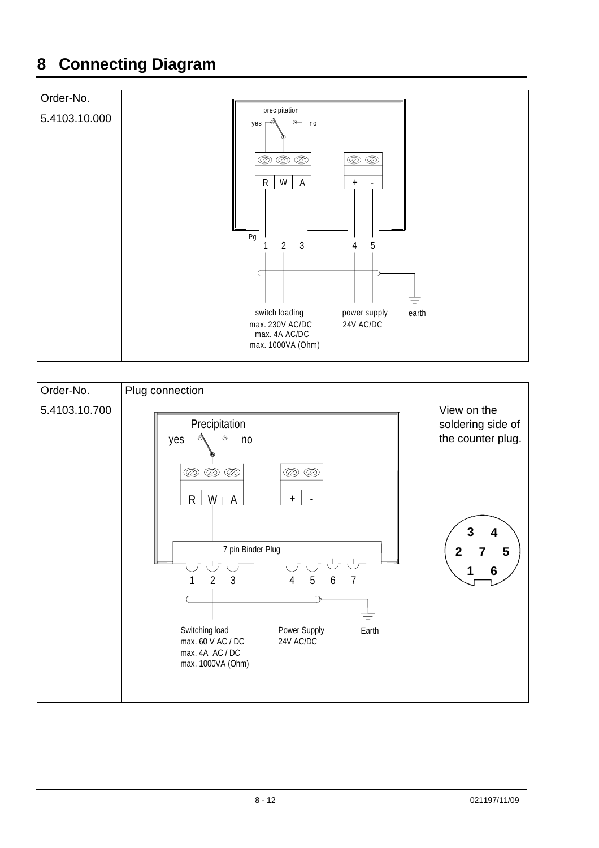## <span id="page-7-0"></span>**8 Connecting Diagram**



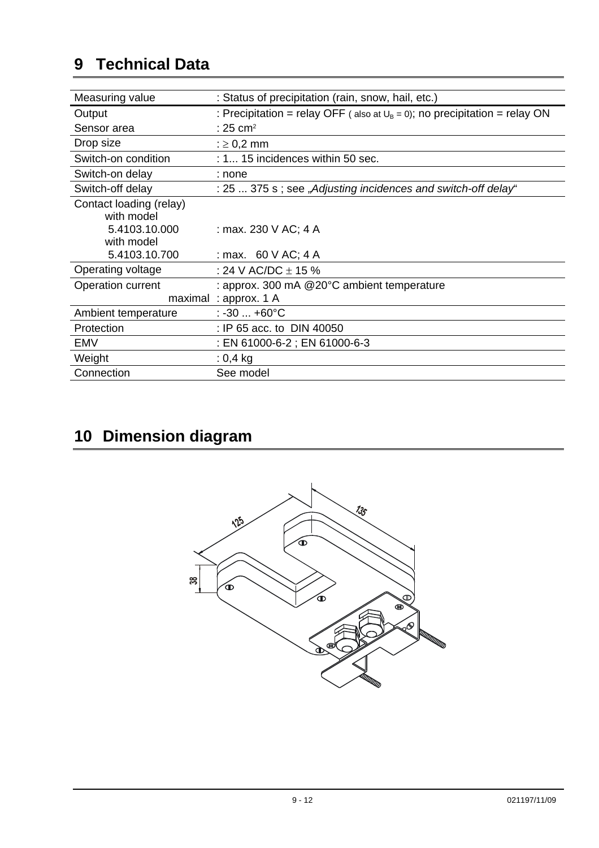## <span id="page-8-0"></span>**9 Technical Data**

| Measuring value         | : Status of precipitation (rain, snow, hail, etc.)                            |
|-------------------------|-------------------------------------------------------------------------------|
| Output                  | : Precipitation = relay OFF (also at $U_B = 0$ ); no precipitation = relay ON |
| Sensor area             | : 25 cm <sup>2</sup>                                                          |
| Drop size               | : $\geq$ 0,2 mm                                                               |
| Switch-on condition     | $: 1$ 15 incidences within 50 sec.                                            |
| Switch-on delay         | : none                                                                        |
| Switch-off delay        | : 25  375 s; see "Adjusting incidences and switch-off delay"                  |
| Contact loading (relay) |                                                                               |
| with model              |                                                                               |
| 5.4103.10.000           | : max. 230 V AC; 4 A                                                          |
| with model              |                                                                               |
| 5.4103.10.700           | : max. $60 \text{ V AC}$ ; 4 A                                                |
| Operating voltage       | : 24 V AC/DC $\pm$ 15 %                                                       |
| Operation current       | : approx. 300 mA @20°C ambient temperature                                    |
|                         | maximal: approx. 1 A                                                          |
| Ambient temperature     | $: -30 +60^{\circ}C$                                                          |
| Protection              | : IP 65 acc. to DIN 40050                                                     |
| EMV                     | : EN 61000-6-2 ; EN 61000-6-3                                                 |
| Weight                  | $: 0,4$ kg                                                                    |
| Connection              | See model                                                                     |

# **10 Dimension diagram**

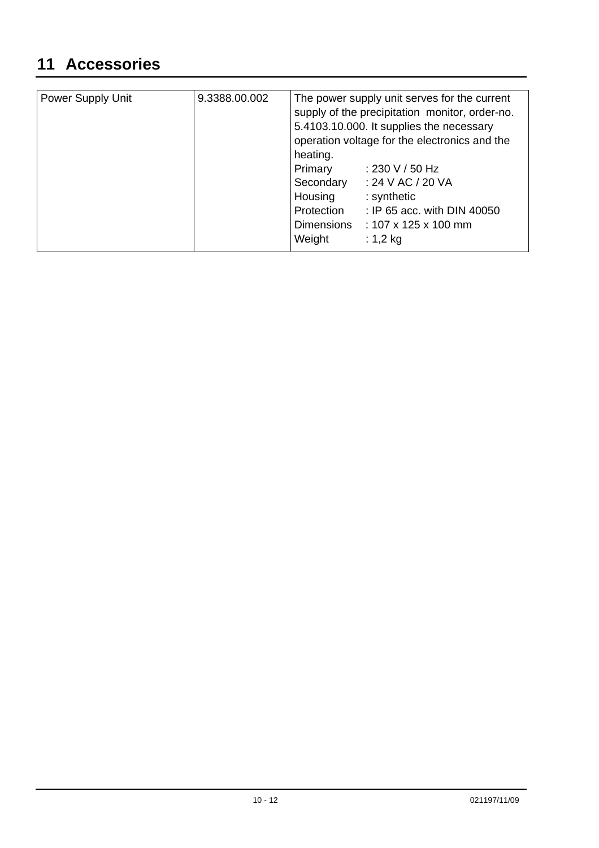### <span id="page-9-0"></span>**11 Accessories**

| Power Supply Unit | 9.3388.00.002 | The power supply unit serves for the current<br>supply of the precipitation monitor, order-no. |                                  |  |
|-------------------|---------------|------------------------------------------------------------------------------------------------|----------------------------------|--|
|                   |               | 5.4103.10.000. It supplies the necessary<br>operation voltage for the electronics and the      |                                  |  |
|                   |               | heating.                                                                                       |                                  |  |
|                   |               | Primary                                                                                        | : 230 V / 50 Hz                  |  |
|                   |               | Secondary                                                                                      | : 24 V AC / 20 VA                |  |
|                   |               | Housing                                                                                        | : synthetic                      |  |
|                   |               | Protection                                                                                     | : IP 65 acc. with DIN 40050      |  |
|                   |               | Dimensions                                                                                     | : $107 \times 125 \times 100$ mm |  |
|                   |               | Weight                                                                                         | : $1,2$ kg                       |  |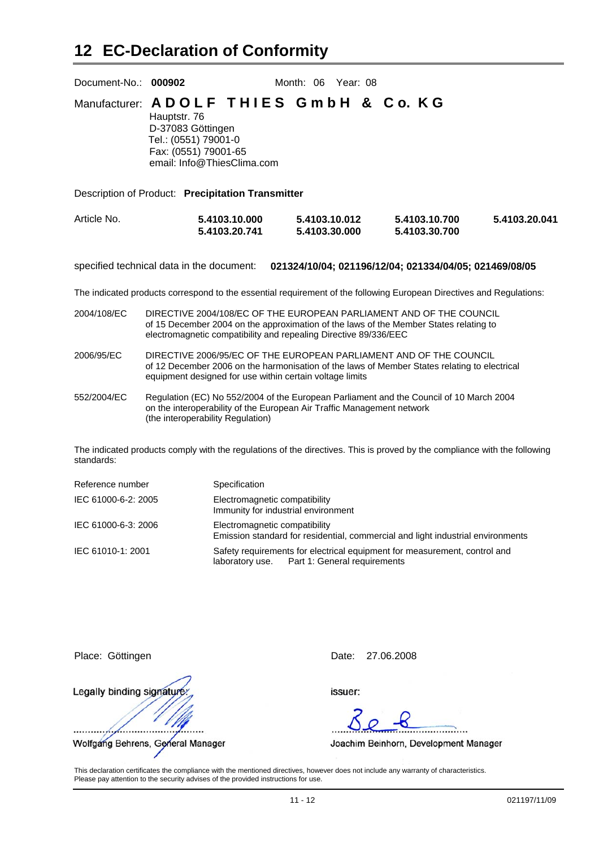<span id="page-10-0"></span>

| Document-No.: 000902 |                                                                                                                                                            | Month: 06                      | Year: 08 |                                |               |
|----------------------|------------------------------------------------------------------------------------------------------------------------------------------------------------|--------------------------------|----------|--------------------------------|---------------|
|                      | Manufacturer: ADOLF THIES GmbH & Co. KG<br>Hauptstr. 76<br>D-37083 Göttingen<br>Tel.: (0551) 79001-0<br>Fax: (0551) 79001-65<br>email: Info@ThiesClima.com |                                |          |                                |               |
|                      | Description of Product: Precipitation Transmitter                                                                                                          |                                |          |                                |               |
| Article No.          | 5.4103.10.000<br>5.4103.20.741                                                                                                                             | 5.4103.10.012<br>5.4103.30.000 |          | 5.4103.10.700<br>5.4103.30.700 | 5.4103.20.041 |

specified technical data in the document: **021324/10/04; 021196/12/04; 021334/04/05; 021469/08/05**

The indicated products correspond to the essential requirement of the following European Directives and Regulations:

- 2004/108/EC DIRECTIVE 2004/108/EC OF THE EUROPEAN PARLIAMENT AND OF THE COUNCIL of 15 December 2004 on the approximation of the laws of the Member States relating to electromagnetic compatibility and repealing Directive 89/336/EEC
- 2006/95/EC DIRECTIVE 2006/95/EC OF THE EUROPEAN PARLIAMENT AND OF THE COUNCIL of 12 December 2006 on the harmonisation of the laws of Member States relating to electrical equipment designed for use within certain voltage limits
- 552/2004/EC Regulation (EC) No 552/2004 of the European Parliament and the Council of 10 March 2004 on the interoperability of the European Air Traffic Management network (the interoperability Regulation)

The indicated products comply with the regulations of the directives. This is proved by the compliance with the following standards:

| Reference number    | Specification                                                                                                             |
|---------------------|---------------------------------------------------------------------------------------------------------------------------|
| IEC 61000-6-2: 2005 | Electromagnetic compatibility<br>Immunity for industrial environment                                                      |
| IEC 61000-6-3: 2006 | Electromagnetic compatibility<br>Emission standard for residential, commercial and light industrial environments          |
| IEC 61010-1: 2001   | Safety requirements for electrical equipment for measurement, control and<br>laboratory use. Part 1: General requirements |

Legally binding signatur Wolfgang Behrens, General Manager

Place: Göttingen Date: 27.06.2008

issuer:

Joachim Beinhorn, Development Manager

This declaration certificates the compliance with the mentioned directives, however does not include any warranty of characteristics. Please pay attention to the security advises of the provided instructions for use.